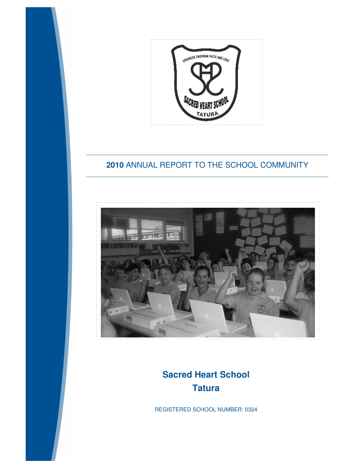

## **2010** ANNUAL REPORT TO THE SCHOOL COMMUNITY



# **Sacred Heart School Tatura**

REGISTERED SCHOOL NUMBER: 0324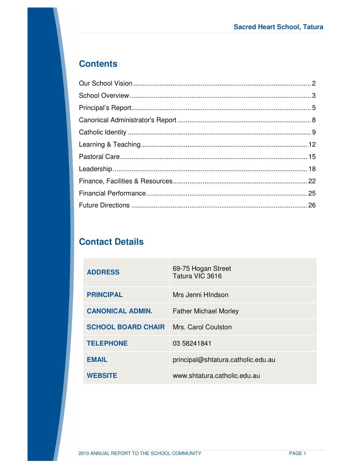# **Contents**

# **Contact Details**

| <b>ADDRESS</b>                                | 69-75 Hogan Street<br>Tatura VIC 3616 |
|-----------------------------------------------|---------------------------------------|
| <b>PRINCIPAL</b>                              | Mrs Jenni HIndson                     |
| <b>CANONICAL ADMIN.</b>                       | <b>Father Michael Morley</b>          |
| <b>SCHOOL BOARD CHAIR</b> Mrs. Carol Coulston |                                       |
| <b>TELEPHONE</b>                              | 03 58241841                           |
| <b>EMAIL</b>                                  | principal@shtatura.catholic.edu.au    |
| <b>WEBSITE</b>                                | www.shtatura.catholic.edu.au          |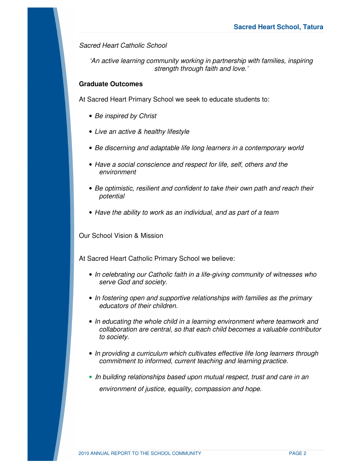*Sacred Heart Catholic School* 

*'An active learning community working in partnership with families, inspiring strength through faith and love.'* 

### **Graduate Outcomes**

At Sacred Heart Primary School we seek to educate students to:

- *Be inspired by Christ*
- *Live an active & healthy lifestyle*
- *Be discerning and adaptable life long learners in a contemporary world*
- *Have a social conscience and respect for life, self, others and the environment*
- *Be optimistic, resilient and confident to take their own path and reach their potential*
- *Have the ability to work as an individual, and as part of a team*

Our School Vision & Mission

At Sacred Heart Catholic Primary School we believe:

- *In celebrating our Catholic faith in a life-giving community of witnesses who serve God and society.*
- *In fostering open and supportive relationships with families as the primary educators of their children.*
- *In educating the whole child in a learning environment where teamwork and collaboration are central, so that each child becomes a valuable contributor to society.*
- *In providing a curriculum which cultivates effective life long learners through commitment to informed, current teaching and learning practice.*
- <sup>Ι</sup>*n building relationships based upon mutual respect, trust and care in an environment of justice, equality, compassion and hope.*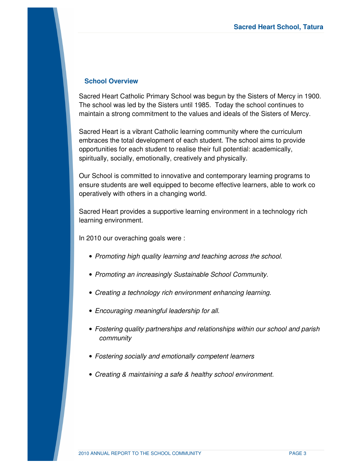### **School Overview**

Sacred Heart Catholic Primary School was begun by the Sisters of Mercy in 1900. The school was led by the Sisters until 1985. Today the school continues to maintain a strong commitment to the values and ideals of the Sisters of Mercy.

Sacred Heart is a vibrant Catholic learning community where the curriculum embraces the total development of each student. The school aims to provide opportunities for each student to realise their full potential: academically, spiritually, socially, emotionally, creatively and physically.

Our School is committed to innovative and contemporary learning programs to ensure students are well equipped to become effective learners, able to work co operatively with others in a changing world.

Sacred Heart provides a supportive learning environment in a technology rich learning environment.

In 2010 our overaching goals were :

- *Promoting high quality learning and teaching across the school.*
- *Promoting an increasingly Sustainable School Community.*
- *Creating a technology rich environment enhancing learning.*
- *Encouraging meaningful leadership for all.*
- *Fostering quality partnerships and relationships within our school and parish community*
- *Fostering socially and emotionally competent learners*
- *Creating & maintaining a safe & healthy school environment.*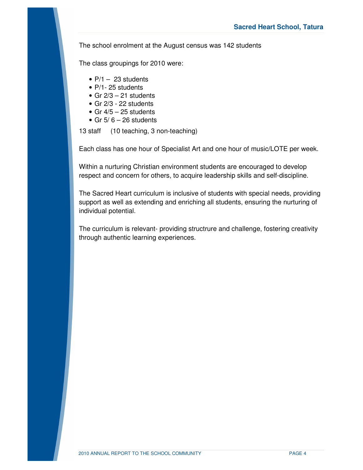The school enrolment at the August census was 142 students

The class groupings for 2010 were:

- $P/1 23$  students
- P/1- 25 students
- Gr  $2/3 21$  students
- Gr 2/3 22 students
- Gr  $4/5 25$  students
- Gr  $5/6 26$  students

13 staff (10 teaching, 3 non-teaching)

Each class has one hour of Specialist Art and one hour of music/LOTE per week.

Within a nurturing Christian environment students are encouraged to develop respect and concern for others, to acquire leadership skills and self-discipline.

The Sacred Heart curriculum is inclusive of students with special needs, providing support as well as extending and enriching all students, ensuring the nurturing of individual potential.

The curriculum is relevant- providing structrure and challenge, fostering creativity through authentic learning experiences.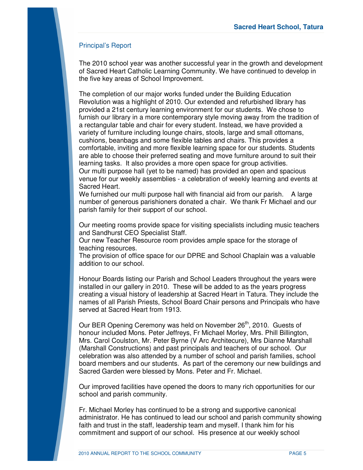## Principal's Report

The 2010 school year was another successful year in the growth and development of Sacred Heart Catholic Learning Community. We have continued to develop in the five key areas of School Improvement.

The completion of our major works funded under the Building Education Revolution was a highlight of 2010. Our extended and refurbished library has provided a 21st century learning environment for our students. We chose to furnish our library in a more contemporary style moving away from the tradition of a rectangular table and chair for every student. Instead, we have provided a variety of furniture including lounge chairs, stools, large and small ottomans, cushions, beanbags and some flexible tables and chairs. This provides a comfortable, inviting and more flexible learning space for our students. Students are able to choose their preferred seating and move furniture around to suit their learning tasks. It also provides a more open space for group activities. Our multi purpose hall (yet to be named) has provided an open and spacious venue for our weekly assemblies - a celebration of weekly learning and events at Sacred Heart.

We furnished our multi purpose hall with financial aid from our parish. A large number of generous parishioners donated a chair. We thank Fr Michael and our parish family for their support of our school.

Our meeting rooms provide space for visiting specialists including music teachers and Sandhurst CEO Specialist Staff.

Our new Teacher Resource room provides ample space for the storage of teaching resources.

The provision of office space for our DPRE and School Chaplain was a valuable addition to our school.

Honour Boards listing our Parish and School Leaders throughout the years were installed in our gallery in 2010. These will be added to as the years progress creating a visual history of leadership at Sacred Heart in Tatura. They include the names of all Parish Priests, School Board Chair persons and Principals who have served at Sacred Heart from 1913.

Our BER Opening Ceremony was held on November 26<sup>th</sup>, 2010. Guests of honour included Mons. Peter Jeffreys, Fr Michael Morley, Mrs. Phill Billington, Mrs. Carol Coulston, Mr. Peter Byrne (V Arc Architecure), Mrs Dianne Marshall (Marshall Constructions) and past principals and teachers of our school. Our celebration was also attended by a number of school and parish families, school board members and our students. As part of the ceremony our new buildings and Sacred Garden were blessed by Mons. Peter and Fr. Michael.

Our improved facilities have opened the doors to many rich opportunities for our school and parish community.

Fr. Michael Morley has continued to be a strong and supportive canonical administrator. He has continued to lead our school and parish community showing faith and trust in the staff, leadership team and myself. I thank him for his commitment and support of our school. His presence at our weekly school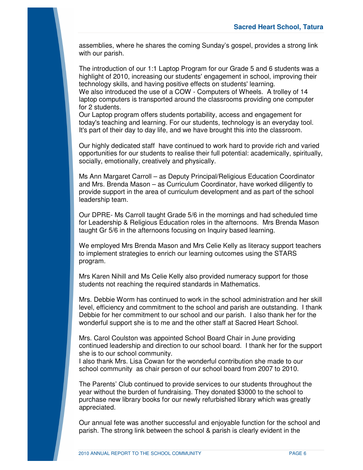assemblies, where he shares the coming Sunday's gospel, provides a strong link with our parish.

The introduction of our 1:1 Laptop Program for our Grade 5 and 6 students was a highlight of 2010, increasing our students' engagement in school, improving their technology skills, and having positive effects on students' learning.

We also introduced the use of a COW - Computers of Wheels. A trolley of 14 laptop computers is transported around the classrooms providing one computer for 2 students.

Our Laptop program offers students portability, access and engagement for today's teaching and learning. For our students, technology is an everyday tool. It's part of their day to day life, and we have brought this into the classroom.

Our highly dedicated staff have continued to work hard to provide rich and varied opportunities for our students to realise their full potential: academically, spiritually, socially, emotionally, creatively and physically.

Ms Ann Margaret Carroll – as Deputy Principal/Religious Education Coordinator and Mrs. Brenda Mason – as Curriculum Coordinator, have worked diligently to provide support in the area of curriculum development and as part of the school leadership team.

Our DPRE- Ms Carroll taught Grade 5/6 in the mornings and had scheduled time for Leadership & Religious Education roles in the afternoons. Mrs Brenda Mason taught Gr 5/6 in the afternoons focusing on Inquiry based learning.

We employed Mrs Brenda Mason and Mrs Celie Kelly as literacy support teachers to implement strategies to enrich our learning outcomes using the STARS program.

Mrs Karen Nihill and Ms Celie Kelly also provided numeracy support for those students not reaching the required standards in Mathematics.

Mrs. Debbie Worm has continued to work in the school administration and her skill level, efficiency and commitment to the school and parish are outstanding. I thank Debbie for her commitment to our school and our parish. I also thank her for the wonderful support she is to me and the other staff at Sacred Heart School.

Mrs. Carol Coulston was appointed School Board Chair in June providing continued leadership and direction to our school board. I thank her for the support she is to our school community.

I also thank Mrs. Lisa Cowan for the wonderful contribution she made to our school community as chair person of our school board from 2007 to 2010.

The Parents' Club continued to provide services to our students throughout the year without the burden of fundraising. They donated \$3000 to the school to purchase new library books for our newly refurbished library which was greatly appreciated.

Our annual fete was another successful and enjoyable function for the school and parish. The strong link between the school & parish is clearly evident in the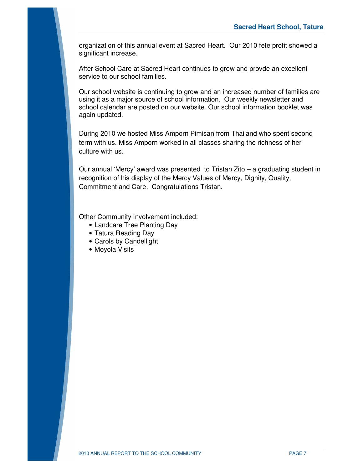organization of this annual event at Sacred Heart. Our 2010 fete profit showed a significant increase.

After School Care at Sacred Heart continues to grow and provde an excellent service to our school families.

Our school website is continuing to grow and an increased number of families are using it as a major source of school information. Our weekly newsletter and school calendar are posted on our website. Our school information booklet was again updated.

During 2010 we hosted Miss Amporn Pimisan from Thailand who spent second term with us. Miss Amporn worked in all classes sharing the richness of her culture with us.

Our annual 'Mercy' award was presented to Tristan Zito – a graduating student in recognition of his display of the Mercy Values of Mercy, Dignity, Quality, Commitment and Care. Congratulations Tristan.

Other Community Involvement included:

- Landcare Tree Planting Day
- Tatura Reading Day
- Carols by Candellight
- Moyola Visits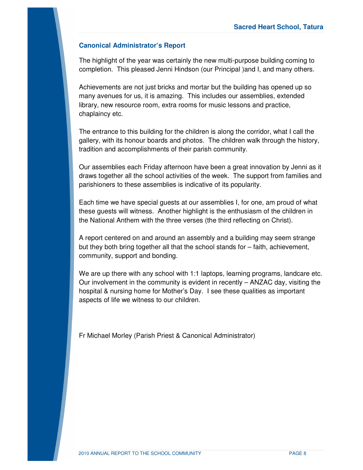## **Canonical Administrator's Report**

The highlight of the year was certainly the new multi-purpose building coming to completion. This pleased Jenni Hindson (our Principal )and I, and many others.

Achievements are not just bricks and mortar but the building has opened up so many avenues for us, it is amazing. This includes our assemblies, extended library, new resource room, extra rooms for music lessons and practice, chaplaincy etc.

The entrance to this building for the children is along the corridor, what I call the gallery, with its honour boards and photos. The children walk through the history, tradition and accomplishments of their parish community.

Our assemblies each Friday afternoon have been a great innovation by Jenni as it draws together all the school activities of the week. The support from families and parishioners to these assemblies is indicative of its popularity.

Each time we have special guests at our assemblies I, for one, am proud of what these guests will witness. Another highlight is the enthusiasm of the children in the National Anthem with the three verses (the third reflecting on Christ).

A report centered on and around an assembly and a building may seem strange but they both bring together all that the school stands for – faith, achievement, community, support and bonding.

We are up there with any school with 1:1 laptops, learning programs, landcare etc. Our involvement in the community is evident in recently – ANZAC day, visiting the hospital & nursing home for Mother's Day. I see these qualities as important aspects of life we witness to our children.

Fr Michael Morley (Parish Priest & Canonical Administrator)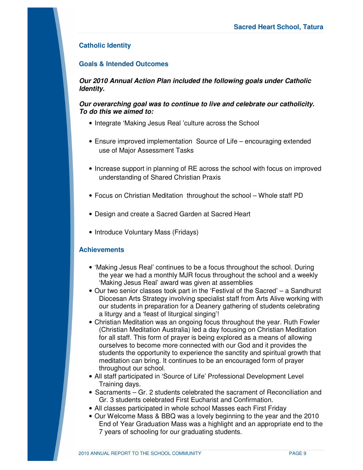## **Catholic Identity**

## **Goals & Intended Outcomes**

*Our 2010 Annual Action Plan included the following goals under Catholic Identity.* 

### *Our overarching goal was to continue to live and celebrate our catholicity. To do this we aimed to:*

- Integrate 'Making Jesus Real 'culture across the School
- Ensure improved implementation Source of Life encouraging extended use of Major Assessment Tasks
- Increase support in planning of RE across the school with focus on improved understanding of Shared Christian Praxis
- Focus on Christian Meditation throughout the school Whole staff PD
- Design and create a Sacred Garden at Sacred Heart
- Introduce Voluntary Mass (Fridays)

## **Achievements**

- 'Making Jesus Real' continues to be a focus throughout the school. During the year we had a monthly MJR focus throughout the school and a weekly 'Making Jesus Real' award was given at assemblies
- Our two senior classes took part in the 'Festival of the Sacred' a Sandhurst Diocesan Arts Strategy involving specialist staff from Arts Alive working with our students in preparation for a Deanery gathering of students celebrating a liturgy and a 'feast of liturgical singing'!
- Christian Meditation was an ongoing focus throughout the year. Ruth Fowler (Christian Meditation Australia) led a day focusing on Christian Meditation for all staff. This form of prayer is being explored as a means of allowing ourselves to become more connected with our God and it provides the students the opportunity to experience the sanctity and spiritual growth that meditation can bring. It continues to be an encouraged form of prayer throughout our school.
- All staff participated in 'Source of Life' Professional Development Level Training days.
- Sacraments Gr. 2 students celebrated the sacrament of Reconciliation and Gr. 3 students celebrated First Eucharist and Confirmation.
- All classes participated in whole school Masses each First Friday
- Our Welcome Mass & BBQ was a lovely beginning to the year and the 2010 End of Year Graduation Mass was a highlight and an appropriate end to the 7 years of schooling for our graduating students.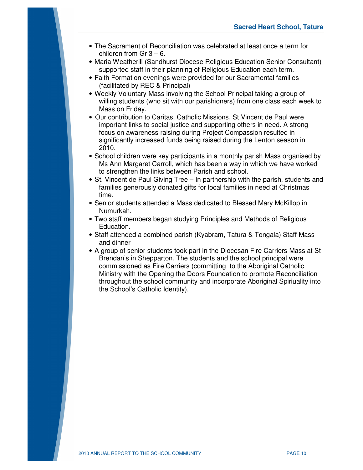- The Sacrament of Reconciliation was celebrated at least once a term for children from  $Gr 3 - 6$ .
- Maria Weatherill (Sandhurst Diocese Religious Education Senior Consultant) supported staff in their planning of Religious Education each term.
- Faith Formation evenings were provided for our Sacramental families (facilitated by REC & Principal)
- Weekly Voluntary Mass involving the School Principal taking a group of willing students (who sit with our parishioners) from one class each week to Mass on Friday.
- Our contribution to Caritas, Catholic Missions, St Vincent de Paul were important links to social justice and supporting others in need. A strong focus on awareness raising during Project Compassion resulted in significantly increased funds being raised during the Lenton season in 2010.
- School children were key participants in a monthly parish Mass organised by Ms Ann Margaret Carroll, which has been a way in which we have worked to strengthen the links between Parish and school.
- St. Vincent de Paul Giving Tree In partnership with the parish, students and families generously donated gifts for local families in need at Christmas time.
- Senior students attended a Mass dedicated to Blessed Mary McKillop in Numurkah.
- Two staff members began studying Principles and Methods of Religious Education.
- Staff attended a combined parish (Kyabram, Tatura & Tongala) Staff Mass and dinner
- A group of senior students took part in the Diocesan Fire Carriers Mass at St Brendan's in Shepparton. The students and the school principal were commissioned as Fire Carriers (committing to the Aboriginal Catholic Ministry with the Opening the Doors Foundation to promote Reconciliation throughout the school community and incorporate Aboriginal Spiriuality into the School's Catholic Identity).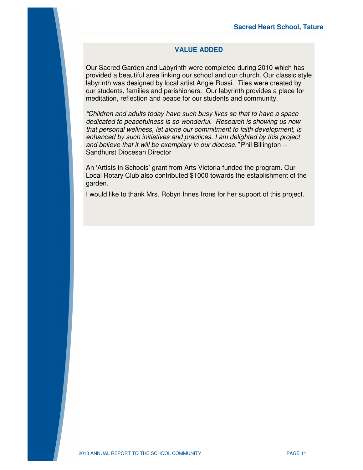### **VALUE ADDED**

Our Sacred Garden and Labyrinth were completed during 2010 which has provided a beautiful area linking our school and our church. Our classic style labyrinth was designed by local artist Angie Russi. Tiles were created by our students, families and parishioners. Our labyrinth provides a place for meditation, reflection and peace for our students and community.

*"Children and adults today have such busy lives so that to have a space dedicated to peacefulness is so wonderful. Research is showing us now that personal wellness, let alone our commitment to faith development, is enhanced by such initiatives and practices. I am delighted by this project and believe that it will be exemplary in our diocese."* Phil Billington – Sandhurst Diocesan Director

An 'Artists in Schools' grant from Arts Victoria funded the program. Our Local Rotary Club also contributed \$1000 towards the establishment of the garden.

I would like to thank Mrs. Robyn Innes Irons for her support of this project.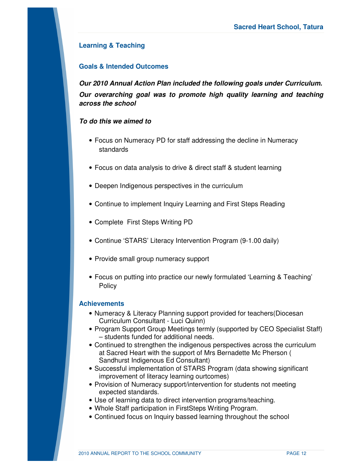## **Learning & Teaching**

## **Goals & Intended Outcomes**

*Our 2010 Annual Action Plan included the following goals under Curriculum. Our overarching goal was to promote high quality learning and teaching across the school* 

## *To do this we aimed to*

- Focus on Numeracy PD for staff addressing the decline in Numeracy standards
- Focus on data analysis to drive & direct staff & student learning
- Deepen Indigenous perspectives in the curriculum
- Continue to implement Inquiry Learning and First Steps Reading
- Complete First Steps Writing PD
- Continue 'STARS' Literacy Intervention Program (9-1.00 daily)
- Provide small group numeracy support
- Focus on putting into practice our newly formulated 'Learning & Teaching' **Policy**

### **Achievements**

- Numeracy & Literacy Planning support provided for teachers(Diocesan Curriculum Consultant - Luci Quinn)
- Program Support Group Meetings termly (supported by CEO Specialist Staff) – students funded for additional needs.
- Continued to strengthen the indigenous perspectives across the curriculum at Sacred Heart with the support of Mrs Bernadette Mc Pherson ( Sandhurst Indigenous Ed Consultant)
- Successful implementation of STARS Program (data showing significant improvement of literacy learning ourtcomes)
- Provision of Numeracy support/intervention for students not meeting expected standards.
- Use of learning data to direct intervention programs/teaching.
- Whole Staff participation in FirstSteps Writing Program.
- Continued focus on Inquiry bassed learning throughout the school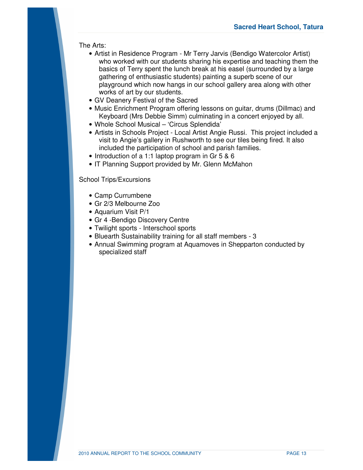## The Arts:

- Artist in Residence Program Mr Terry Jarvis (Bendigo Watercolor Artist) who worked with our students sharing his expertise and teaching them the basics of Terry spent the lunch break at his easel (surrounded by a large gathering of enthusiastic students) painting a superb scene of our playground which now hangs in our school gallery area along with other works of art by our students.
- GV Deanery Festival of the Sacred
- Music Enrichment Program offering lessons on guitar, drums (Dillmac) and Keyboard (Mrs Debbie Simm) culminating in a concert enjoyed by all.
- Whole School Musical 'Circus Splendida'
- Artists in Schools Project Local Artist Angie Russi. This project included a visit to Angie's gallery in Rushworth to see our tiles being fired. It also included the participation of school and parish families.
- Introduction of a 1:1 laptop program in Gr 5 & 6
- IT Planning Support provided by Mr. Glenn McMahon

School Trips/Excursions

- Camp Currumbene
- Gr 2/3 Melbourne Zoo
- Aquarium Visit P/1
- Gr 4 -Bendigo Discovery Centre
- Twilight sports Interschool sports
- Bluearth Sustainability training for all staff members 3
- Annual Swimming program at Aquamoves in Shepparton conducted by specialized staff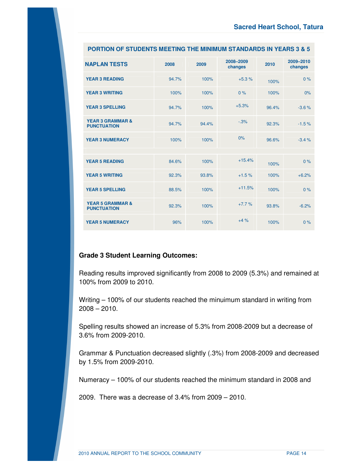| <b>NAPLAN TESTS</b>                               | 2008  | 2009  | 2008-2009<br>changes | 2010  | 2009-2010<br>changes |
|---------------------------------------------------|-------|-------|----------------------|-------|----------------------|
| <b>YEAR 3 READING</b>                             | 94.7% | 100%  | $+5.3%$              | 100%  | 0%                   |
| <b>YEAR 3 WRITING</b>                             | 100%  | 100%  | 0%                   | 100%  | 0%                   |
| <b>YEAR 3 SPELLING</b>                            | 94.7% | 100%  | $+5.3%$              | 96.4% | $-3.6%$              |
| <b>YEAR 3 GRAMMAR &amp;</b><br><b>PUNCTUATION</b> | 94.7% | 94.4% | $-3%$                | 92.3% | $-1.5%$              |
| <b>YEAR 3 NUMERACY</b>                            | 100%  | 100%  | 0%                   | 96.6% | $-3.4%$              |
|                                                   |       |       |                      |       |                      |
| <b>YEAR 5 READING</b>                             | 84.6% | 100%  | $+15.4%$             | 100%  | 0%                   |
| <b>YEAR 5 WRITING</b>                             | 92.3% | 93.8% | $+1.5%$              | 100%  | $+6.2%$              |
| <b>YEAR 5 SPELLING</b>                            | 88.5% | 100%  | $+11.5%$             | 100%  | 0%                   |
| <b>YEAR 5 GRAMMAR &amp;</b><br><b>PUNCTUATION</b> | 92.3% | 100%  | $+7.7%$              | 93.8% | $-6.2%$              |
| <b>YEAR 5 NUMERACY</b>                            | 96%   | 100%  | $+4%$                | 100%  | 0%                   |

### **PORTION OF STUDENTS MEETING THE MINIMUM STANDARDS IN YEARS 3 & 5**

## **Grade 3 Student Learning Outcomes:**

Reading results improved significantly from 2008 to 2009 (5.3%) and remained at 100% from 2009 to 2010.

Writing – 100% of our students reached the minuimum standard in writing from 2008 – 2010.

Spelling results showed an increase of 5.3% from 2008-2009 but a decrease of 3.6% from 2009-2010.

Grammar & Punctuation decreased slightly (.3%) from 2008-2009 and decreased by 1.5% from 2009-2010.

Numeracy – 100% of our students reached the minimum standard in 2008 and

2009. There was a decrease of 3.4% from 2009 – 2010.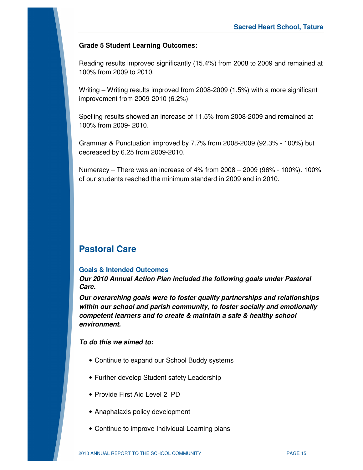## **Grade 5 Student Learning Outcomes:**

Reading results improved significantly (15.4%) from 2008 to 2009 and remained at 100% from 2009 to 2010.

Writing – Writing results improved from 2008-2009 (1.5%) with a more significant improvement from 2009-2010 (6.2%)

Spelling results showed an increase of 11.5% from 2008-2009 and remained at 100% from 2009- 2010.

Grammar & Punctuation improved by 7.7% from 2008-2009 (92.3% - 100%) but decreased by 6.25 from 2009-2010.

Numeracy – There was an increase of 4% from 2008 – 2009 (96% - 100%). 100% of our students reached the minimum standard in 2009 and in 2010.

## **Pastoral Care**

## **Goals & Intended Outcomes**

*Our 2010 Annual Action Plan included the following goals under Pastoral Care.* 

*Our overarching goals were to foster quality partnerships and relationships within our school and parish community, to foster socially and emotionally competent learners and to create & maintain a safe & healthy school environment.* 

## *To do this we aimed to:*

- Continue to expand our School Buddy systems
- Further develop Student safety Leadership
- Provide First Aid Level 2 PD
- Anaphalaxis policy development
- Continue to improve Individual Learning plans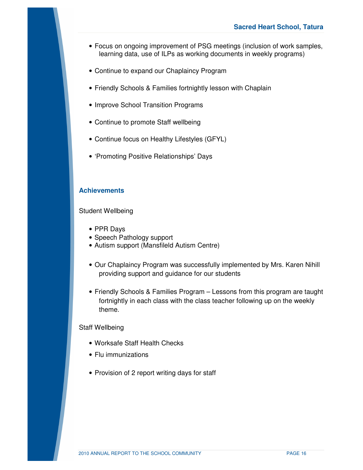- Focus on ongoing improvement of PSG meetings (inclusion of work samples, learning data, use of ILPs as working documents in weekly programs)
- Continue to expand our Chaplaincy Program
- Friendly Schools & Families fortnightly lesson with Chaplain
- Improve School Transition Programs
- Continue to promote Staff wellbeing
- Continue focus on Healthy Lifestyles (GFYL)
- 'Promoting Positive Relationships' Days

## **Achievements**

Student Wellbeing

- PPR Days
- Speech Pathology support
- Autism support (Mansfileld Autism Centre)
- Our Chaplaincy Program was successfully implemented by Mrs. Karen Nihill providing support and guidance for our students
- Friendly Schools & Families Program Lessons from this program are taught fortnightly in each class with the class teacher following up on the weekly theme.

#### Staff Wellbeing

- Worksafe Staff Health Checks
- Flu immunizations
- Provision of 2 report writing days for staff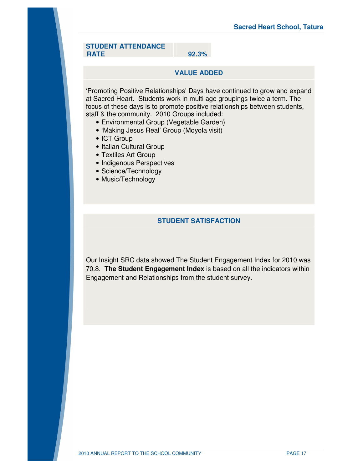#### **STUDENT ATTENDANCE RATE**

**92.3%**

## **VALUE ADDED**

'Promoting Positive Relationships' Days have continued to grow and expand at Sacred Heart. Students work in multi age groupings twice a term. The focus of these days is to promote positive relationships between students, staff & the community. 2010 Groups included:

- Environmental Group (Vegetable Garden)
- 'Making Jesus Real' Group (Moyola visit)
- ICT Group
- Italian Cultural Group
- Textiles Art Group
- Indigenous Perspectives
- Science/Technology
- Music/Technology

## **STUDENT SATISFACTION**

Our Insight SRC data showed The Student Engagement Index for 2010 was 70.8. **The Student Engagement Index** is based on all the indicators within Engagement and Relationships from the student survey.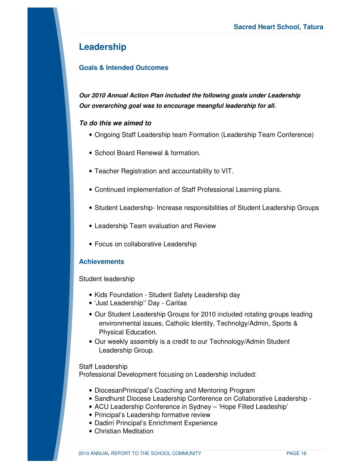## **Leadership**

## **Goals & Intended Outcomes**

*Our 2010 Annual Action Plan included the following goals under Leadership Our overarching goal was to encourage meangful leadership for all.* 

## *To do this we aimed to*

- Ongoing Staff Leadership team Formation (Leadership Team Conference)
- School Board Renewal & formation.
- Teacher Registration and accountability to VIT.
- Continued implementation of Staff Professional Learning plans.
- Student Leadership- Increase responsibilities of Student Leadership Groups
- Leadership Team evaluation and Review
- Focus on collaborative Leadership

## **Achievements**

Student leadership

- Kids Foundation Student Safety Leadership day
- 'Just Leadership'' Day Caritas
- Our Student Leadership Groups for 2010 included rotating groups leading environmental issues, Catholic Identity, Technolgy/Admin, Sports & Physical Education.
- Our weekly assembly is a credit to our Technology/Admin Student Leadership Group.

### Staff Leadership

Professional Development focusing on Leadership included:

- DiocesanPrinicpal's Coaching and Mentoring Program
- Sandhurst Diocese Leadership Conference on Collaborative Leadership -
- ACU Leadership Conference in Sydney 'Hope Filled Leadeship'
- Principal's Leadership formative review
- Dadirri Principal's Enrichment Experience
- Christian Meditation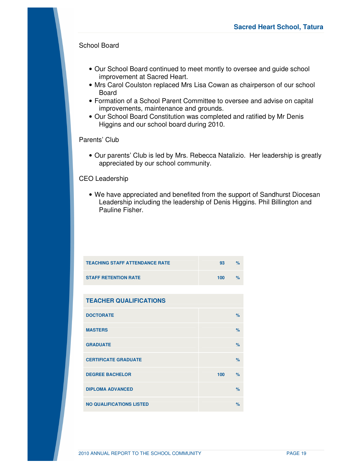## School Board

- Our School Board continued to meet montly to oversee and guide school improvement at Sacred Heart.
- Mrs Carol Coulston replaced Mrs Lisa Cowan as chairperson of our school Board
- Formation of a School Parent Committee to oversee and advise on capital improvements, maintenance and grounds.
- Our School Board Constitution was completed and ratified by Mr Denis Higgins and our school board during 2010.

Parents' Club

• Our parents' Club is led by Mrs. Rebecca Natalizio. Her leadership is greatly appreciated by our school community.

### CEO Leadership

• We have appreciated and benefited from the support of Sandhurst Diocesan Leadership including the leadership of Denis Higgins. Phil Billington and Pauline Fisher.

| <b>TEACHING STAFF ATTENDANCE RATE</b> | 93  | $\frac{9}{6}$ |
|---------------------------------------|-----|---------------|
| <b>STAFF RETENTION RATE</b>           | 100 | $\frac{9}{6}$ |
|                                       |     |               |
| <b>TEACHER QUALIFICATIONS</b>         |     |               |
| <b>DOCTORATE</b>                      |     | $\frac{9}{6}$ |
| <b>MASTERS</b>                        |     | $\frac{9}{6}$ |
| <b>GRADUATE</b>                       |     | %             |
| <b>CERTIFICATE GRADUATE</b>           |     | $\frac{9}{6}$ |
| <b>DEGREE BACHELOR</b>                | 100 | $\frac{9}{6}$ |
| <b>DIPLOMA ADVANCED</b>               |     | $\%$          |
| <b>NO QUALIFICATIONS LISTED</b>       |     | $\%$          |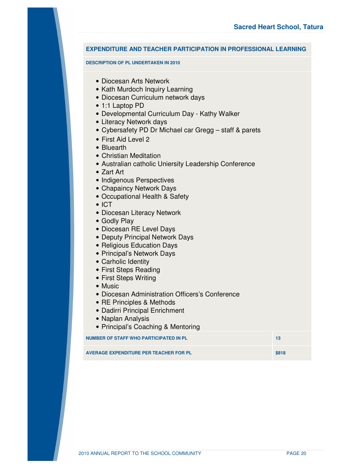### **EXPENDITURE AND TEACHER PARTICIPATION IN PROFESSIONAL LEARNING**

#### **DESCRIPTION OF PL UNDERTAKEN IN 2010**

- Diocesan Arts Network
- Kath Murdoch Inquiry Learning
- Diocesan Curriculum network days
- 1:1 Laptop PD
- Developmental Curriculum Day Kathy Walker
- Literacy Network days
- Cybersafety PD Dr Michael car Gregg staff & parets
- First Aid Level 2
- Bluearth
- Christian Meditation
- Australian catholic Uniersity Leadership Conference
- Zart Art
- Indigenous Perspectives
- Chapaincy Network Days
- Occupational Health & Safety
- ICT
- Diocesan Literacy Network
- Godly Play
- Diocesan RE Level Days
- Deputy Principal Network Days
- Religious Education Days
- Principal's Network Days
- Carholic Identity
- First Steps Reading
- First Steps Writing
- Music
- Diocesan Administration Officers's Conference
- RE Principles & Methods
- Dadirri Principal Enrichment
- Naplan Analysis
- Principal's Coaching & Mentoring

**NUMBER OF STAFF WHO PARTICIPATED IN PL 13 13 13** 

**AVERAGE EXPENDITURE PER TEACHER FOR PL \$818**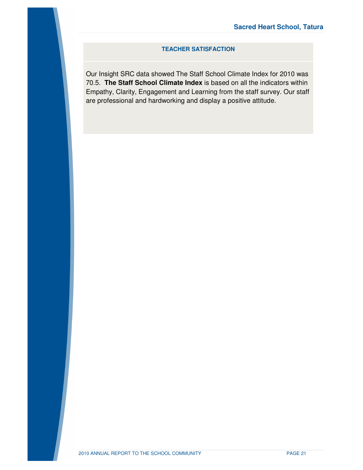## **TEACHER SATISFACTION**

Our Insight SRC data showed The Staff School Climate Index for 2010 was 70.5. **The Staff School Climate Index** is based on all the indicators within Empathy, Clarity, Engagement and Learning from the staff survey. Our staff are professional and hardworking and display a positive attitude.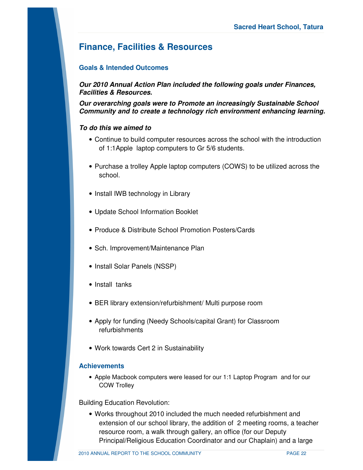## **Finance, Facilities & Resources**

## **Goals & Intended Outcomes**

*Our 2010 Annual Action Plan included the following goals under Finances, Facilities & Resources.* 

*Our overarching goals were to Promote an increasingly Sustainable School Community and to create a technology rich environment enhancing learning.* 

## *To do this we aimed to*

- Continue to build computer resources across the school with the introduction of 1:1Apple laptop computers to Gr 5/6 students.
- Purchase a trolley Apple laptop computers (COWS) to be utilized across the school.
- Install IWB technology in Library
- Update School Information Booklet
- Produce & Distribute School Promotion Posters/Cards
- Sch. Improvement/Maintenance Plan
- Install Solar Panels (NSSP)
- Install tanks
- BER library extension/refurbishment/ Multi purpose room
- Apply for funding (Needy Schools/capital Grant) for Classroom refurbishments
- Work towards Cert 2 in Sustainability

### **Achievements**

• Apple Macbook computers were leased for our 1:1 Laptop Program and for our COW Trolley

Building Education Revolution:

• Works throughout 2010 included the much needed refurbishment and extension of our school library, the addition of 2 meeting rooms, a teacher resource room, a walk through gallery, an office (for our Deputy Principal/Religious Education Coordinator and our Chaplain) and a large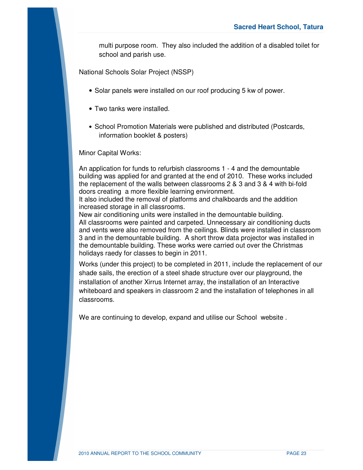multi purpose room. They also included the addition of a disabled toilet for school and parish use.

National Schools Solar Project (NSSP)

- Solar panels were installed on our roof producing 5 kw of power.
- Two tanks were installed.
- School Promotion Materials were published and distributed (Postcards, information booklet & posters)

Minor Capital Works:

An application for funds to refurbish classrooms 1 - 4 and the demountable building was applied for and granted at the end of 2010. These works included the replacement of the walls between classrooms 2 & 3 and 3 & 4 with bi-fold doors creating a more flexible learning environment.

It also included the removal of platforms and chalkboards and the addition increased storage in all classrooms.

New air conditioning units were installed in the demountable building. All classrooms were painted and carpeted. Unnecessary air conditioning ducts and vents were also removed from the ceilings. Blinds were installed in classroom 3 and in the demountable building. A short throw data projector was installed in the demountable building. These works were carried out over the Christmas holidays raedy for classes to begin in 2011.

Works (under this project) to be completed in 2011, include the replacement of our shade sails, the erection of a steel shade structure over our playground, the installation of another Xirrus Internet array, the installation of an Interactive whiteboard and speakers in classroom 2 and the installation of telephones in all classrooms.

We are continuing to develop, expand and utilise our School website .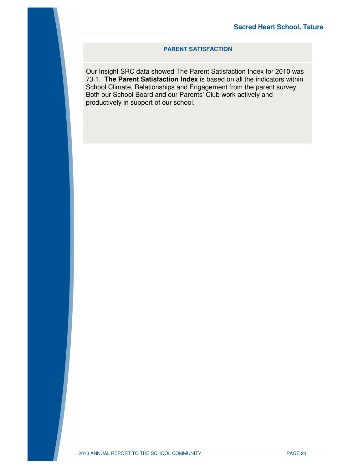### **PARENT SATISFACTION**

Our Insight SRC data showed The Parent Satisfaction Index for 2010 was 73.1. **The Parent Satisfaction Index** is based on all the indicators within School Climate, Relationships and Engagement from the parent survey. Both our School Board and our Parents' Club work actively and productively in support of our school.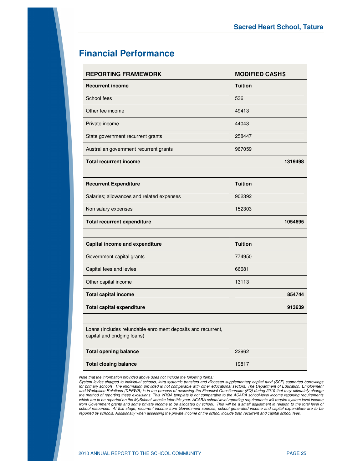## **Financial Performance**

| <b>REPORTING FRAMEWORK</b>                                                                  | <b>MODIFIED CASH\$</b> |
|---------------------------------------------------------------------------------------------|------------------------|
| <b>Recurrent income</b>                                                                     | <b>Tuition</b>         |
| School fees                                                                                 | 536                    |
| Other fee income                                                                            | 49413                  |
| Private income                                                                              | 44043                  |
| State government recurrent grants                                                           | 258447                 |
| Australian government recurrent grants                                                      | 967059                 |
| <b>Total recurrent income</b>                                                               | 1319498                |
|                                                                                             |                        |
| <b>Recurrent Expenditure</b>                                                                | <b>Tuition</b>         |
| Salaries; allowances and related expenses                                                   | 902392                 |
| Non salary expenses                                                                         | 152303                 |
| <b>Total recurrent expenditure</b>                                                          | 1054695                |
|                                                                                             |                        |
| Capital income and expenditure                                                              | <b>Tuition</b>         |
| Government capital grants                                                                   | 774950                 |
| Capital fees and levies                                                                     | 66681                  |
| Other capital income                                                                        | 13113                  |
| <b>Total capital income</b>                                                                 | 854744                 |
| <b>Total capital expenditure</b>                                                            | 913639                 |
|                                                                                             |                        |
| Loans (includes refundable enrolment deposits and recurrent,<br>capital and bridging loans) |                        |
| <b>Total opening balance</b>                                                                | 22962                  |
| <b>Total closing balance</b>                                                                | 19817                  |

*Note that the information provided above does not include the following items:* 

System levies charged to individual schools, intra-systemic transfers and diocesan supplementary capital fund (SCF) supported borrowings<br>for primary schools. The information provided is not comparable with other educationa which are to be reported on the MySchool website later this year. ACARA school level reporting requirements will require system level income *from Government grants and some private income to be allocated by school. This will be a small adjustment in relation to the total level of school resources. At this stage, recurrent income from Government sources, school generated income and capital expenditure are to be reported by schools. Additionally when assessing the private income of the school include both recurrent and capital school fees.*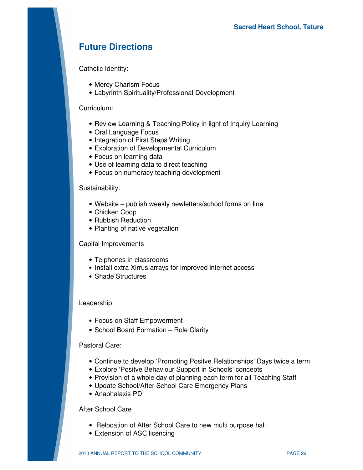## **Future Directions**

Catholic Identity:

- Mercy Charism Focus
- Labyrinth Spirituality/Professional Development

## Curriculum:

- Review Learning & Teaching Policy in light of Inquiry Learning
- Oral Language Focus
- Integration of First Steps Writing
- Exploration of Developmental Curriculum
- Focus on learning data
- Use of learning data to direct teaching
- Focus on numeracy teaching development

### Sustainability:

- Website publish weekly newletters/school forms on line
- Chicken Coop
- Rubbish Reduction
- Planting of native vegetation

### Capital Improvements

- Telphones in classrooms
- Install extra Xirrus arrays for improved internet access
- Shade Structures

## Leadership:

- Focus on Staff Empowerment
- School Board Formation Role Clarity

### Pastoral Care:

- Continue to develop 'Promoting Positve Relationships' Days twice a term
- Explore 'Positve Behaviour Support in Schools' concepts
- Provision of a whole day of planning each term for all Teaching Staff
- Update School/After School Care Emergency Plans
- Anaphalaxis PD

## After School Care

- Relocation of After School Care to new multi purpose hall
- Extension of ASC licencing